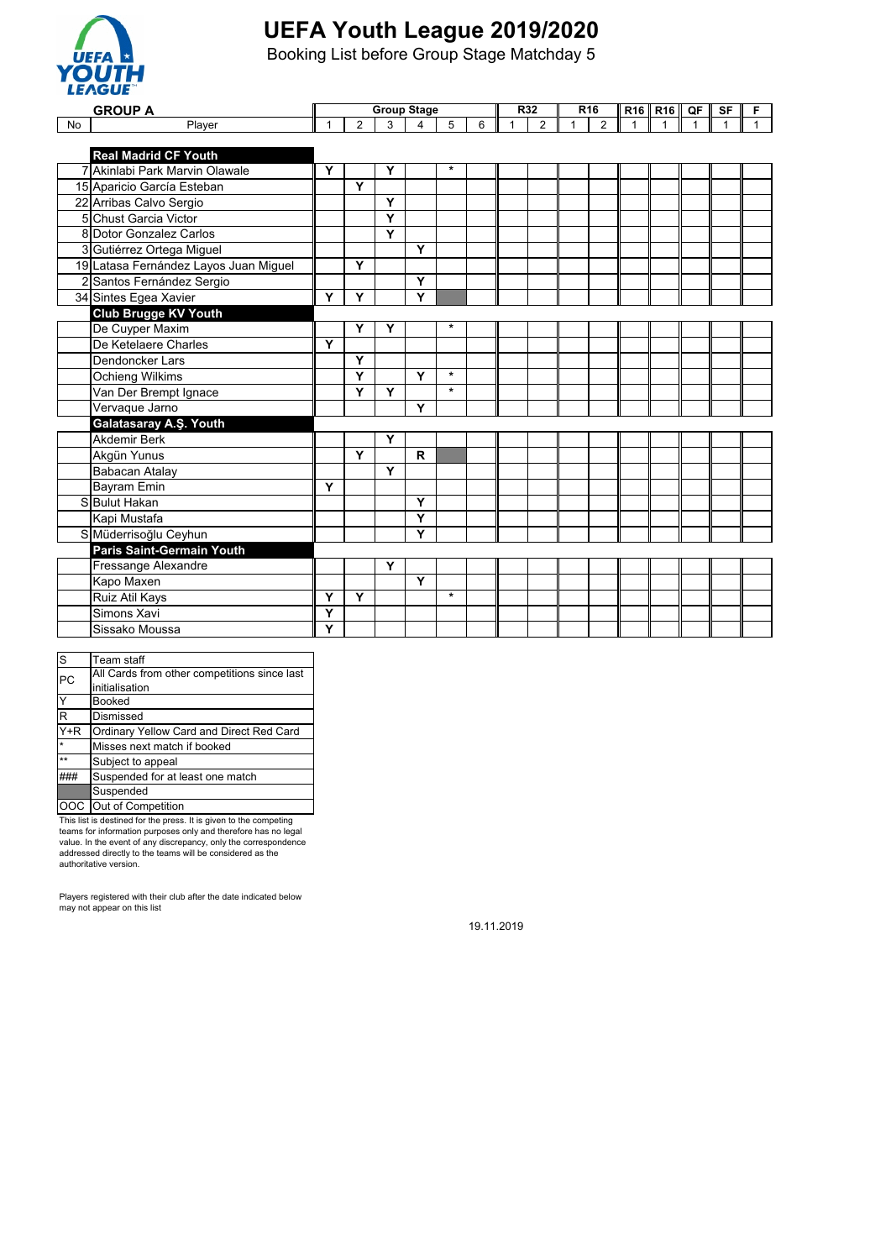

Booking List before Group Stage Matchday 5

|           | <b>GROUP A</b>                        |   |                |   | <b>Group Stage</b> |         |   | R32 |                | R <sub>16</sub> |                | R <sub>16</sub> R <sub>16</sub> | QF | SF | F |
|-----------|---------------------------------------|---|----------------|---|--------------------|---------|---|-----|----------------|-----------------|----------------|---------------------------------|----|----|---|
| <b>No</b> | Player                                |   | $\overline{2}$ | 3 | $\overline{4}$     | 5       | 6 | 1   | $\overline{2}$ | 1               | $\overline{2}$ | 1                               |    |    |   |
|           |                                       |   |                |   |                    |         |   |     |                |                 |                |                                 |    |    |   |
|           | <b>Real Madrid CF Youth</b>           |   |                |   |                    |         |   |     |                |                 |                |                                 |    |    |   |
|           | 7 Akinlabi Park Marvin Olawale        | Y |                | Y |                    | $\star$ |   |     |                |                 |                |                                 |    |    |   |
|           | 15 Aparicio García Esteban            |   | Y              |   |                    |         |   |     |                |                 |                |                                 |    |    |   |
|           | 22 Arribas Calvo Sergio               |   |                | Y |                    |         |   |     |                |                 |                |                                 |    |    |   |
|           | 5 Chust Garcia Victor                 |   |                | Ÿ |                    |         |   |     |                |                 |                |                                 |    |    |   |
|           | 8 Dotor Gonzalez Carlos               |   |                | Y |                    |         |   |     |                |                 |                |                                 |    |    |   |
|           | 3 Gutiérrez Ortega Miguel             |   |                |   | Y                  |         |   |     |                |                 |                |                                 |    |    |   |
|           | 19 Latasa Fernández Layos Juan Miguel |   | Y              |   |                    |         |   |     |                |                 |                |                                 |    |    |   |
|           | 2 Santos Fernández Sergio             |   |                |   | Y                  |         |   |     |                |                 |                |                                 |    |    |   |
|           | 34 Sintes Egea Xavier                 | Y | Y              |   | Y                  |         |   |     |                |                 |                |                                 |    |    |   |
|           | <b>Club Brugge KV Youth</b>           |   |                |   |                    |         |   |     |                |                 |                |                                 |    |    |   |
|           | De Cuyper Maxim                       |   | Y              | Y |                    | $\star$ |   |     |                |                 |                |                                 |    |    |   |
|           | De Ketelaere Charles                  | Y |                |   |                    |         |   |     |                |                 |                |                                 |    |    |   |
|           | Dendoncker Lars                       |   | Y              |   |                    |         |   |     |                |                 |                |                                 |    |    |   |
|           | Ochieng Wilkims                       |   | Y              |   | Y                  | $\star$ |   |     |                |                 |                |                                 |    |    |   |
|           | Van Der Brempt Ignace                 |   | Y              | Y |                    | $\star$ |   |     |                |                 |                |                                 |    |    |   |
|           | Vervaque Jarno                        |   |                |   | Y                  |         |   |     |                |                 |                |                                 |    |    |   |
|           | Galatasaray A.Ş. Youth                |   |                |   |                    |         |   |     |                |                 |                |                                 |    |    |   |
|           | <b>Akdemir Berk</b>                   |   |                | Y |                    |         |   |     |                |                 |                |                                 |    |    |   |
|           | Akgün Yunus                           |   | Y              |   | R                  |         |   |     |                |                 |                |                                 |    |    |   |
|           | Babacan Atalay                        |   |                | Y |                    |         |   |     |                |                 |                |                                 |    |    |   |
|           | <b>Bayram Emin</b>                    | Y |                |   |                    |         |   |     |                |                 |                |                                 |    |    |   |
|           | S Bulut Hakan                         |   |                |   | Y                  |         |   |     |                |                 |                |                                 |    |    |   |
|           | Kapi Mustafa                          |   |                |   | Y                  |         |   |     |                |                 |                |                                 |    |    |   |
|           | S Müderrisoğlu Ceyhun                 |   |                |   | Y                  |         |   |     |                |                 |                |                                 |    |    |   |
|           | <b>Paris Saint-Germain Youth</b>      |   |                |   |                    |         |   |     |                |                 |                |                                 |    |    |   |
|           | Fressange Alexandre                   |   |                | Y |                    |         |   |     |                |                 |                |                                 |    |    |   |
|           | Kapo Maxen                            |   |                |   | Υ                  |         |   |     |                |                 |                |                                 |    |    |   |
|           | Ruiz Atil Kays                        | Y | Y              |   |                    | $\star$ |   |     |                |                 |                |                                 |    |    |   |
|           | Simons Xavi                           | Y |                |   |                    |         |   |     |                |                 |                |                                 |    |    |   |
|           | Sissako Moussa                        | Ý |                |   |                    |         |   |     |                |                 |                |                                 |    |    |   |

| S            | Team staff                                   |
|--------------|----------------------------------------------|
| PC           | All Cards from other competitions since last |
|              | initialisation                               |
| Y            | <b>Booked</b>                                |
| R            | Dismissed                                    |
| $Y+R$        | Ordinary Yellow Card and Direct Red Card     |
| $\star$      | Misses next match if booked                  |
| $\star\star$ | Subject to appeal                            |
|              | Suspended for at least one match             |
|              | Suspended                                    |
|              | Out of Competition                           |

This list is destined for the press. It is given to the competing<br>teams for information purposes only and therefore has no legal<br>value. In the event of any discrepancy, only the correspondence<br>addressed directly to the tea authoritative version.

Players registered with their club after the date indicated below may not appear on this list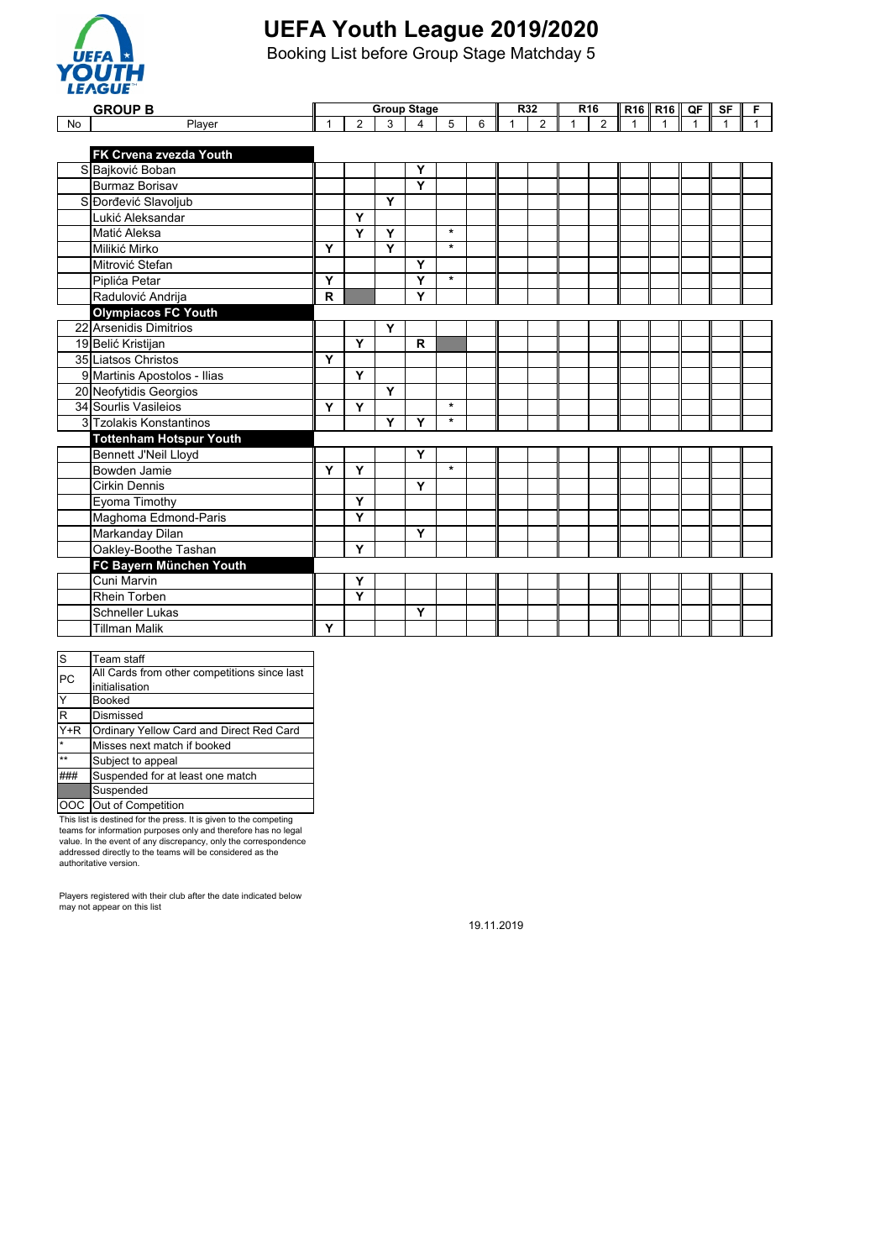

Booking List before Group Stage Matchday 5

|    | <b>GROUP B</b>                 |             |                         | <b>Group Stage</b> |   |         |   |   | <b>R32</b>     |   | R <sub>16</sub> |             | R <sub>16</sub> R <sub>16</sub> | QF I         | SF | F            |
|----|--------------------------------|-------------|-------------------------|--------------------|---|---------|---|---|----------------|---|-----------------|-------------|---------------------------------|--------------|----|--------------|
| No | Player                         | 1           | $\overline{2}$          | 3                  | 4 | 5       | 6 | 1 | $\overline{2}$ | 1 | $\overline{2}$  | $\mathbf 1$ | $\mathbf{1}$                    | $\mathbf{1}$ | 1  | $\mathbf{1}$ |
|    |                                |             |                         |                    |   |         |   |   |                |   |                 |             |                                 |              |    |              |
|    | <b>FK Crvena zvezda Youth</b>  |             |                         |                    |   |         |   |   |                |   |                 |             |                                 |              |    |              |
|    | S Bajković Boban               |             |                         |                    | Y |         |   |   |                |   |                 |             |                                 |              |    |              |
|    | <b>Burmaz Borisav</b>          |             |                         |                    | Ÿ |         |   |   |                |   |                 |             |                                 |              |    |              |
|    | S Dorđević Slavoljub           |             |                         | Y                  |   |         |   |   |                |   |                 |             |                                 |              |    |              |
|    | Lukić Aleksandar               |             | Y                       |                    |   |         |   |   |                |   |                 |             |                                 |              |    |              |
|    | Matić Aleksa                   |             | Y                       | Y                  |   | $\star$ |   |   |                |   |                 |             |                                 |              |    |              |
|    | Milikić Mirko                  | Y           |                         | Y                  |   | $\star$ |   |   |                |   |                 |             |                                 |              |    |              |
|    | Mitrović Stefan                |             |                         |                    | Y |         |   |   |                |   |                 |             |                                 |              |    |              |
|    | Piplića Petar                  | Y           |                         |                    | Ÿ | $\star$ |   |   |                |   |                 |             |                                 |              |    |              |
|    | Radulović Andrija              | $\mathbf R$ |                         |                    | Υ |         |   |   |                |   |                 |             |                                 |              |    |              |
|    | <b>Olympiacos FC Youth</b>     |             |                         |                    |   |         |   |   |                |   |                 |             |                                 |              |    |              |
|    | 22 Arsenidis Dimitrios         |             |                         | Y                  |   |         |   |   |                |   |                 |             |                                 |              |    |              |
|    | 19 Belić Kristijan             |             | Y                       |                    | R |         |   |   |                |   |                 |             |                                 |              |    |              |
|    | 35 Liatsos Christos            | Y           |                         |                    |   |         |   |   |                |   |                 |             |                                 |              |    |              |
|    | 9 Martinis Apostolos - Ilias   |             | Y                       |                    |   |         |   |   |                |   |                 |             |                                 |              |    |              |
|    | 20 Neofytidis Georgios         |             |                         | $\overline{Y}$     |   |         |   |   |                |   |                 |             |                                 |              |    |              |
|    | 34 Sourlis Vasileios           | Y           | Y                       |                    |   | $\star$ |   |   |                |   |                 |             |                                 |              |    |              |
|    | 3 Tzolakis Konstantinos        |             |                         | Y                  | Y | $\star$ |   |   |                |   |                 |             |                                 |              |    |              |
|    | <b>Tottenham Hotspur Youth</b> |             |                         |                    |   |         |   |   |                |   |                 |             |                                 |              |    |              |
|    | Bennett J'Neil Lloyd           |             |                         |                    | Y |         |   |   |                |   |                 |             |                                 |              |    |              |
|    | Bowden Jamie                   | Ÿ           | Y                       |                    |   | $\star$ |   |   |                |   |                 |             |                                 |              |    |              |
|    | <b>Cirkin Dennis</b>           |             |                         |                    | Y |         |   |   |                |   |                 |             |                                 |              |    |              |
|    | Eyoma Timothy                  |             | Y                       |                    |   |         |   |   |                |   |                 |             |                                 |              |    |              |
|    | Maghoma Edmond-Paris           |             | $\overline{\mathsf{Y}}$ |                    |   |         |   |   |                |   |                 |             |                                 |              |    |              |
|    | Markanday Dilan                |             |                         |                    | Y |         |   |   |                |   |                 |             |                                 |              |    |              |
|    | Oakley-Boothe Tashan           |             | Y                       |                    |   |         |   |   |                |   |                 |             |                                 |              |    |              |
|    | FC Bayern München Youth        |             |                         |                    |   |         |   |   |                |   |                 |             |                                 |              |    |              |
|    | Cuni Marvin                    |             | Y                       |                    |   |         |   |   |                |   |                 |             |                                 |              |    |              |
|    | <b>Rhein Torben</b>            |             | Y                       |                    |   |         |   |   |                |   |                 |             |                                 |              |    |              |
|    | <b>Schneller Lukas</b>         |             |                         |                    | Y |         |   |   |                |   |                 |             |                                 |              |    |              |
|    | <b>Tillman Malik</b>           | Y           |                         |                    |   |         |   |   |                |   |                 |             |                                 |              |    |              |
|    |                                |             |                         |                    |   |         |   |   |                |   |                 |             |                                 |              |    |              |

| S                       | Team staff                                   |
|-------------------------|----------------------------------------------|
| PC                      | All Cards from other competitions since last |
|                         | initialisation                               |
| $\overline{Y}$          | <b>Booked</b>                                |
| $\overline{\mathsf{R}}$ | Dismissed                                    |
| $Y+R$                   | Ordinary Yellow Card and Direct Red Card     |
| $\star$                 | Misses next match if booked                  |
| $\star\star$            | Subject to appeal                            |
|                         | Suspended for at least one match             |
|                         | Suspended                                    |
|                         | OOC Out of Competition                       |

This list is destined for the press. It is given to the competing teams for information purposes only and therefore has no legal value. In the event of any discrepancy, only the correspondence addressed directly to the teams will be considered as the authoritative version.

Players registered with their club after the date indicated below may not appear on this list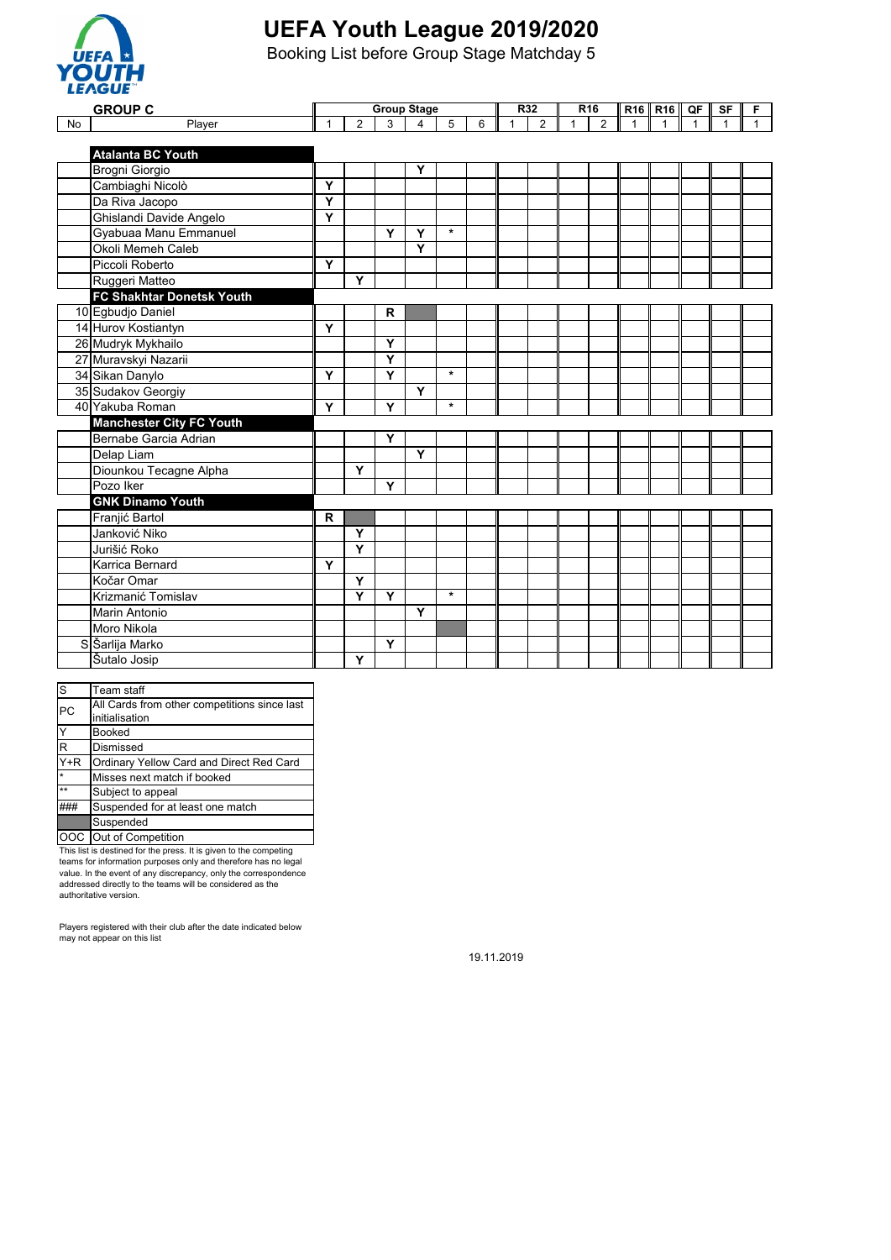

Booking List before Group Stage Matchday 5

|    | <b>GROUP C</b>                  | <b>Group Stage</b>      |                |             |                |         |   | R <sub>32</sub> |                | R <sub>16</sub> |                |             | R <sub>16</sub>   R <sub>16</sub> | QF | <b>SF</b> | F            |
|----|---------------------------------|-------------------------|----------------|-------------|----------------|---------|---|-----------------|----------------|-----------------|----------------|-------------|-----------------------------------|----|-----------|--------------|
| No | Player                          | 1                       | $\overline{2}$ | 3           | $\overline{4}$ | 5       | 6 | 1               | $\overline{2}$ | $\overline{1}$  | $\overline{2}$ | $\mathbf 1$ | $\mathbf{1}$                      | 1  |           | $\mathbf{1}$ |
|    |                                 |                         |                |             |                |         |   |                 |                |                 |                |             |                                   |    |           |              |
|    | <b>Atalanta BC Youth</b>        |                         |                |             |                |         |   |                 |                |                 |                |             |                                   |    |           |              |
|    | Brogni Giorgio                  |                         |                |             | Y              |         |   |                 |                |                 |                |             |                                   |    |           |              |
|    | Cambiaghi Nicolò                | Y                       |                |             |                |         |   |                 |                |                 |                |             |                                   |    |           |              |
|    | Da Riva Jacopo                  | $\overline{\mathsf{Y}}$ |                |             |                |         |   |                 |                |                 |                |             |                                   |    |           |              |
|    | Ghislandi Davide Angelo         | Y                       |                |             |                |         |   |                 |                |                 |                |             |                                   |    |           |              |
|    | Gyabuaa Manu Emmanuel           |                         |                | Y           | Y              | $\star$ |   |                 |                |                 |                |             |                                   |    |           |              |
|    | Okoli Memeh Caleb               |                         |                |             | Y              |         |   |                 |                |                 |                |             |                                   |    |           |              |
|    | Piccoli Roberto                 | Y                       |                |             |                |         |   |                 |                |                 |                |             |                                   |    |           |              |
|    | Ruggeri Matteo                  |                         | Y              |             |                |         |   |                 |                |                 |                |             |                                   |    |           |              |
|    | FC Shakhtar Donetsk Youth       |                         |                |             |                |         |   |                 |                |                 |                |             |                                   |    |           |              |
|    | 10 Egbudjo Daniel               |                         |                | $\mathbf R$ |                |         |   |                 |                |                 |                |             |                                   |    |           |              |
|    | 14 Hurov Kostiantyn             | Y                       |                |             |                |         |   |                 |                |                 |                |             |                                   |    |           |              |
|    | 26 Mudryk Mykhailo              |                         |                | Y           |                |         |   |                 |                |                 |                |             |                                   |    |           |              |
|    | 27 Muravskyi Nazarii            |                         |                | Y           |                |         |   |                 |                |                 |                |             |                                   |    |           |              |
|    | 34 Sikan Danylo                 | Ÿ                       |                | Ÿ           |                | $\ast$  |   |                 |                |                 |                |             |                                   |    |           |              |
|    | 35 Sudakov Georgiy              |                         |                |             | Y              |         |   |                 |                |                 |                |             |                                   |    |           |              |
|    | 40 Yakuba Roman                 | Y                       |                | Y           |                | $\star$ |   |                 |                |                 |                |             |                                   |    |           |              |
|    | <b>Manchester City FC Youth</b> |                         |                |             |                |         |   |                 |                |                 |                |             |                                   |    |           |              |
|    | Bernabe Garcia Adrian           |                         |                | Y           |                |         |   |                 |                |                 |                |             |                                   |    |           |              |
|    | Delap Liam                      |                         |                |             | Y              |         |   |                 |                |                 |                |             |                                   |    |           |              |
|    | Diounkou Tecagne Alpha          |                         | Y              |             |                |         |   |                 |                |                 |                |             |                                   |    |           |              |
|    | Pozo Iker                       |                         |                | Y           |                |         |   |                 |                |                 |                |             |                                   |    |           |              |
|    | <b>GNK Dinamo Youth</b>         |                         |                |             |                |         |   |                 |                |                 |                |             |                                   |    |           |              |
|    | Franjić Bartol                  | $\mathbf R$             |                |             |                |         |   |                 |                |                 |                |             |                                   |    |           |              |
|    | Janković Niko                   |                         | Y              |             |                |         |   |                 |                |                 |                |             |                                   |    |           |              |
|    | Jurišić Roko                    |                         | Y              |             |                |         |   |                 |                |                 |                |             |                                   |    |           |              |
|    | Karrica Bernard                 | Y                       |                |             |                |         |   |                 |                |                 |                |             |                                   |    |           |              |
|    | Kočar Omar                      |                         | Y              |             |                |         |   |                 |                |                 |                |             |                                   |    |           |              |
|    | Krizmanić Tomislav              |                         | Y              | Y           |                | $\star$ |   |                 |                |                 |                |             |                                   |    |           |              |
|    | <b>Marin Antonio</b>            |                         |                |             | Y              |         |   |                 |                |                 |                |             |                                   |    |           |              |
|    | Moro Nikola                     |                         |                |             |                |         |   |                 |                |                 |                |             |                                   |    |           |              |
|    | S Šarlija Marko                 |                         |                | Y           |                |         |   |                 |                |                 |                |             |                                   |    |           |              |
|    | Šutalo Josip                    |                         | Y              |             |                |         |   |                 |                |                 |                |             |                                   |    |           |              |

| ls                | Team staff                                   |
|-------------------|----------------------------------------------|
| PC                | All Cards from other competitions since last |
|                   | initialisation                               |
| Y                 | <b>Booked</b>                                |
| ΙR                | Dismissed                                    |
| $\overline{Y}$ +R | Ordinary Yellow Card and Direct Red Card     |
| $\star$           | Misses next match if booked                  |
| $^{\star\star}$   | Subject to appeal                            |
|                   | Suspended for at least one match             |
|                   | Suspended                                    |
|                   | OOC Out of Competition                       |

This list is destined for the press. It is given to the competing<br>teams for information purposes only and therefore has no legal<br>value. In the event of any discrepancy, only the correspondence<br>addressed directly to the tea

Players registered with their club after the date indicated below may not appear on this list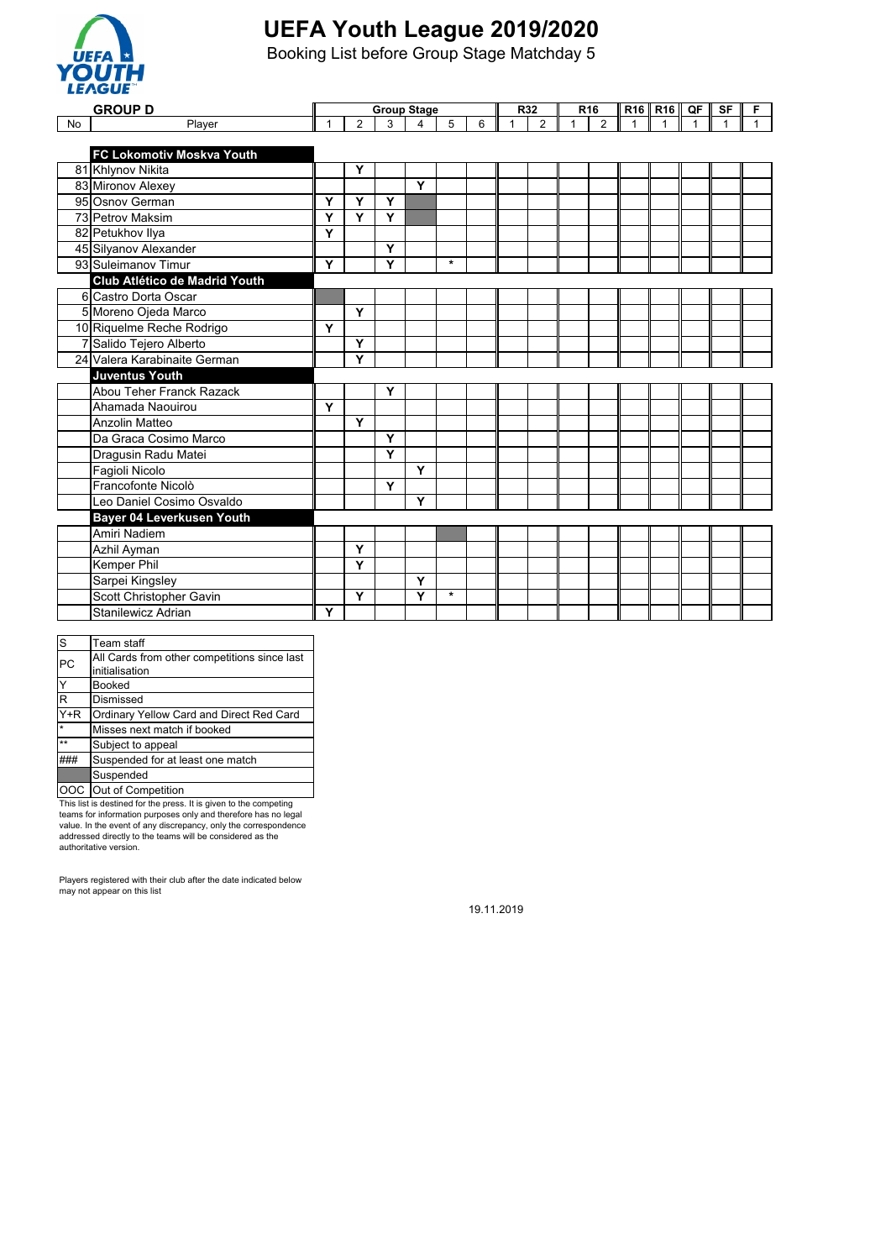

Booking List before Group Stage Matchday 5

|           | <b>GROUP D</b>                |              |                |   | <b>Group Stage</b> |         |   |              | R <sub>32</sub> | R16 |                |              | R <sub>16</sub> R <sub>16</sub> | QF             | SF | F            |
|-----------|-------------------------------|--------------|----------------|---|--------------------|---------|---|--------------|-----------------|-----|----------------|--------------|---------------------------------|----------------|----|--------------|
| <b>No</b> | Player                        | $\mathbf{1}$ | $\overline{2}$ | 3 | 4                  | 5       | 6 | $\mathbf{1}$ | 2               | 1   | $\overline{2}$ | $\mathbf{1}$ | $\mathbf{1}$                    | $\overline{1}$ |    | $\mathbf{1}$ |
|           |                               |              |                |   |                    |         |   |              |                 |     |                |              |                                 |                |    |              |
|           | FC Lokomotiv Moskva Youth     |              |                |   |                    |         |   |              |                 |     |                |              |                                 |                |    |              |
|           | 81 Khlynov Nikita             |              | Y              |   |                    |         |   |              |                 |     |                |              |                                 |                |    |              |
|           | 83 Mironov Alexey             |              |                |   | Y                  |         |   |              |                 |     |                |              |                                 |                |    |              |
|           | 95 Osnov German               | Y            | Y              | Y |                    |         |   |              |                 |     |                |              |                                 |                |    |              |
|           | 73 Petrov Maksim              | Y            | Y              | Y |                    |         |   |              |                 |     |                |              |                                 |                |    |              |
|           | 82 Petukhov Ilya              | Y            |                |   |                    |         |   |              |                 |     |                |              |                                 |                |    |              |
|           | 45 Silyanov Alexander         |              |                | Y |                    |         |   |              |                 |     |                |              |                                 |                |    |              |
|           | 93 Suleimanov Timur           | Y            |                | Y |                    | $\star$ |   |              |                 |     |                |              |                                 |                |    |              |
|           | Club Atlético de Madrid Youth |              |                |   |                    |         |   |              |                 |     |                |              |                                 |                |    |              |
|           | 6 Castro Dorta Oscar          |              |                |   |                    |         |   |              |                 |     |                |              |                                 |                |    |              |
|           | 5 Moreno Ojeda Marco          |              | Y              |   |                    |         |   |              |                 |     |                |              |                                 |                |    |              |
|           | 10 Riquelme Reche Rodrigo     | Y            |                |   |                    |         |   |              |                 |     |                |              |                                 |                |    |              |
|           | 7 Salido Tejero Alberto       |              | Υ              |   |                    |         |   |              |                 |     |                |              |                                 |                |    |              |
|           | 24 Valera Karabinaite German  |              | Y              |   |                    |         |   |              |                 |     |                |              |                                 |                |    |              |
|           | <b>Juventus Youth</b>         |              |                |   |                    |         |   |              |                 |     |                |              |                                 |                |    |              |
|           | Abou Teher Franck Razack      |              |                | Y |                    |         |   |              |                 |     |                |              |                                 |                |    |              |
|           | Ahamada Naouirou              | Y            |                |   |                    |         |   |              |                 |     |                |              |                                 |                |    |              |
|           | Anzolin Matteo                |              | Y              |   |                    |         |   |              |                 |     |                |              |                                 |                |    |              |
|           | Da Graca Cosimo Marco         |              |                | Y |                    |         |   |              |                 |     |                |              |                                 |                |    |              |
|           | Dragusin Radu Matei           |              |                | Y |                    |         |   |              |                 |     |                |              |                                 |                |    |              |
|           | Fagioli Nicolo                |              |                |   | Y                  |         |   |              |                 |     |                |              |                                 |                |    |              |
|           | Francofonte Nicolò            |              |                | Y |                    |         |   |              |                 |     |                |              |                                 |                |    |              |
|           | Leo Daniel Cosimo Osvaldo     |              |                |   | Y                  |         |   |              |                 |     |                |              |                                 |                |    |              |
|           | Bayer 04 Leverkusen Youth     |              |                |   |                    |         |   |              |                 |     |                |              |                                 |                |    |              |
|           | Amiri Nadiem                  |              |                |   |                    |         |   |              |                 |     |                |              |                                 |                |    |              |
|           | Azhil Ayman                   |              | Y              |   |                    |         |   |              |                 |     |                |              |                                 |                |    |              |
|           | Kemper Phil                   |              | Y              |   |                    |         |   |              |                 |     |                |              |                                 |                |    |              |
|           | Sarpei Kingsley               |              |                |   | Y                  |         |   |              |                 |     |                |              |                                 |                |    |              |
|           | Scott Christopher Gavin       |              | Y              |   | Ý                  | $\star$ |   |              |                 |     |                |              |                                 |                |    |              |
|           | Stanilewicz Adrian            | Y            |                |   |                    |         |   |              |                 |     |                |              |                                 |                |    |              |

| S                       | Team staff                                   |
|-------------------------|----------------------------------------------|
| PC                      | All Cards from other competitions since last |
|                         | initialisation                               |
| Y                       | <b>Booked</b>                                |
| $\overline{\mathsf{R}}$ | Dismissed                                    |
| $\overline{Y+R}$        | Ordinary Yellow Card and Direct Red Card     |
| $\star$                 | Misses next match if booked                  |
| $**$                    | Subject to appeal                            |
|                         | Suspended for at least one match             |
|                         | Suspended                                    |
|                         | OOC Out of Competition                       |

This list is destined for the press. It is given to the competing<br>teams for information purposes only and therefore has no legal<br>value. In the event of any discrepancy, only the correspondence<br>addressed directly to the tea

Players registered with their club after the date indicated below may not appear on this list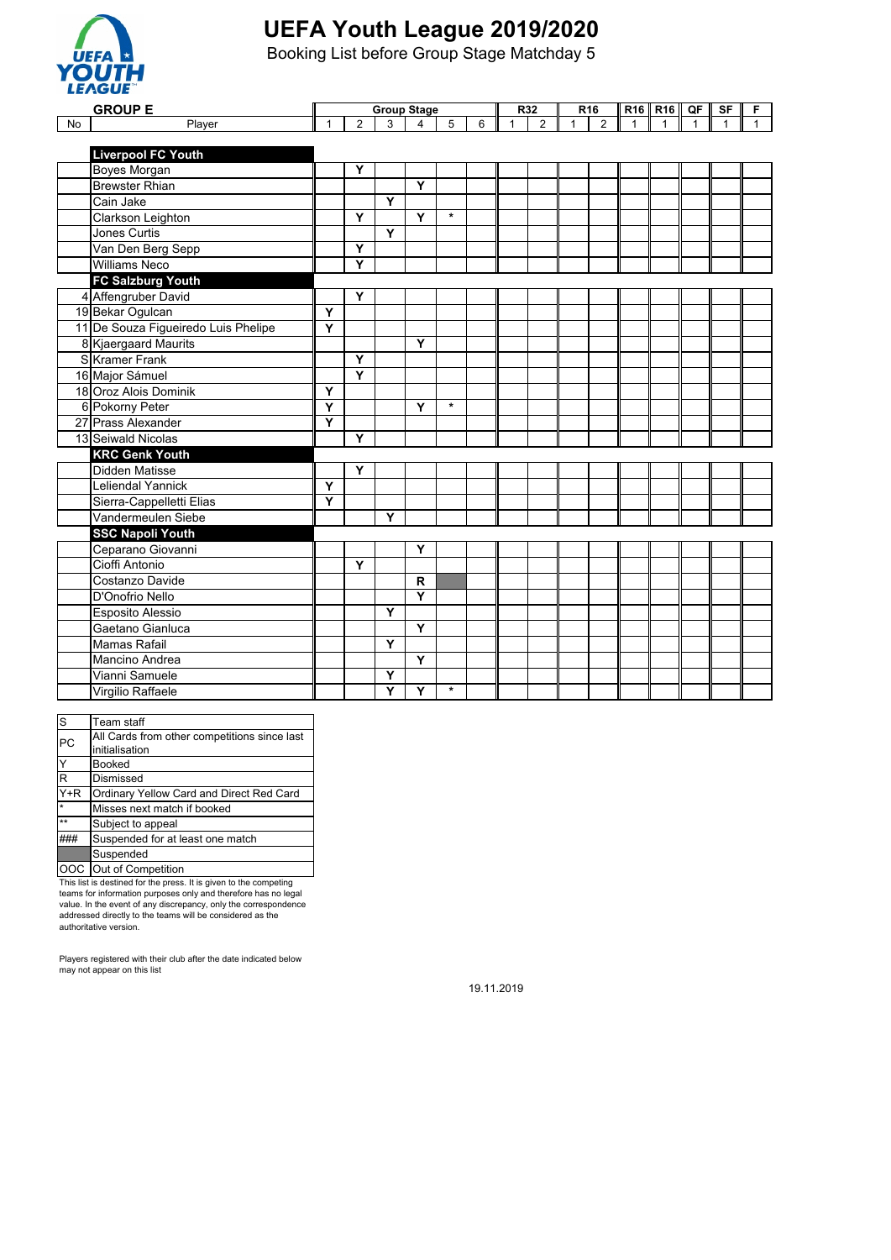

Booking List before Group Stage Matchday 5

|    | <b>GROUP E</b>                      | <b>Group Stage</b> |                         |   |                |         |   | R <sub>32</sub> |                | R16          | <b>R16</b>     | <b>R16</b>  | QF | <b>SF</b>   | F |              |
|----|-------------------------------------|--------------------|-------------------------|---|----------------|---------|---|-----------------|----------------|--------------|----------------|-------------|----|-------------|---|--------------|
| No | Player                              | $\mathbf{1}$       | $\overline{2}$          | 3 | $\overline{4}$ | 5       | 6 | $\mathbf{1}$    | $\overline{2}$ | $\mathbf{1}$ | $\overline{2}$ | $\mathbf 1$ | 1  | $\mathbf 1$ |   | $\mathbf{1}$ |
|    |                                     |                    |                         |   |                |         |   |                 |                |              |                |             |    |             |   |              |
|    | <b>Liverpool FC Youth</b>           |                    |                         |   |                |         |   |                 |                |              |                |             |    |             |   |              |
|    | Boyes Morgan                        |                    | Y                       |   |                |         |   |                 |                |              |                |             |    |             |   |              |
|    | <b>Brewster Rhian</b>               |                    |                         |   | Y              |         |   |                 |                |              |                |             |    |             |   |              |
|    | Cain Jake                           |                    |                         | Y |                |         |   |                 |                |              |                |             |    |             |   |              |
|    | Clarkson Leighton                   |                    | Y                       |   | Y              | $\star$ |   |                 |                |              |                |             |    |             |   |              |
|    | <b>Jones Curtis</b>                 |                    |                         | Y |                |         |   |                 |                |              |                |             |    |             |   |              |
|    | Van Den Berg Sepp                   |                    | Y                       |   |                |         |   |                 |                |              |                |             |    |             |   |              |
|    | <b>Williams Neco</b>                |                    | Y                       |   |                |         |   |                 |                |              |                |             |    |             |   |              |
|    | <b>FC Salzburg Youth</b>            |                    |                         |   |                |         |   |                 |                |              |                |             |    |             |   |              |
|    | 4 Affengruber David                 |                    | Y                       |   |                |         |   |                 |                |              |                |             |    |             |   |              |
|    | 19 Bekar Ogulcan                    | Υ                  |                         |   |                |         |   |                 |                |              |                |             |    |             |   |              |
|    | 11 De Souza Figueiredo Luis Phelipe | Ý                  |                         |   |                |         |   |                 |                |              |                |             |    |             |   |              |
|    | 8 Kjaergaard Maurits                |                    |                         |   | $\overline{Y}$ |         |   |                 |                |              |                |             |    |             |   |              |
|    | SKramer Frank                       |                    | Y                       |   |                |         |   |                 |                |              |                |             |    |             |   |              |
|    | 16 Major Sámuel                     |                    | $\overline{\mathsf{Y}}$ |   |                |         |   |                 |                |              |                |             |    |             |   |              |
|    | 18 Oroz Alois Dominik               | Υ                  |                         |   |                |         |   |                 |                |              |                |             |    |             |   |              |
|    | 6 Pokorny Peter                     | Y                  |                         |   | Y              | $\star$ |   |                 |                |              |                |             |    |             |   |              |
|    | 27 Prass Alexander                  | Y                  |                         |   |                |         |   |                 |                |              |                |             |    |             |   |              |
|    | 13 Seiwald Nicolas                  |                    | Y                       |   |                |         |   |                 |                |              |                |             |    |             |   |              |
|    | <b>KRC Genk Youth</b>               |                    |                         |   |                |         |   |                 |                |              |                |             |    |             |   |              |
|    | <b>Didden Matisse</b>               |                    | Y                       |   |                |         |   |                 |                |              |                |             |    |             |   |              |
|    | Leliendal Yannick                   | Y                  |                         |   |                |         |   |                 |                |              |                |             |    |             |   |              |
|    | Sierra-Cappelletti Elias            | Y                  |                         |   |                |         |   |                 |                |              |                |             |    |             |   |              |
|    | Vandermeulen Siebe                  |                    |                         | Y |                |         |   |                 |                |              |                |             |    |             |   |              |
|    | <b>SSC Napoli Youth</b>             |                    |                         |   |                |         |   |                 |                |              |                |             |    |             |   |              |
|    | Ceparano Giovanni                   |                    |                         |   | Y              |         |   |                 |                |              |                |             |    |             |   |              |
|    | Cioffi Antonio                      |                    | Y                       |   |                |         |   |                 |                |              |                |             |    |             |   |              |
|    | Costanzo Davide                     |                    |                         |   | R              |         |   |                 |                |              |                |             |    |             |   |              |
|    | D'Onofrio Nello                     |                    |                         |   | $\overline{Y}$ |         |   |                 |                |              |                |             |    |             |   |              |
|    | Esposito Alessio                    |                    |                         | Y |                |         |   |                 |                |              |                |             |    |             |   |              |
|    | Gaetano Gianluca                    |                    |                         |   | Y              |         |   |                 |                |              |                |             |    |             |   |              |
|    | <b>Mamas Rafail</b>                 |                    |                         | Y |                |         |   |                 |                |              |                |             |    |             |   |              |
|    | <b>Mancino Andrea</b>               |                    |                         |   | Y              |         |   |                 |                |              |                |             |    |             |   |              |
|    | Vianni Samuele                      |                    |                         | Y |                |         |   |                 |                |              |                |             |    |             |   |              |
|    | Virgilio Raffaele                   |                    |                         | Y | Y              | $\star$ |   |                 |                |              |                |             |    |             |   |              |

| ls                      | Team staff                                   |
|-------------------------|----------------------------------------------|
| PC                      | All Cards from other competitions since last |
|                         | initialisation                               |
| Y                       | <b>Booked</b>                                |
| $\overline{\mathsf{R}}$ | Dismissed                                    |
| $Y+R$                   | Ordinary Yellow Card and Direct Red Card     |
| $\star$                 | Misses next match if booked                  |
| $\star\star$            | Subject to appeal                            |
|                         | Suspended for at least one match             |
|                         | Suspended                                    |
|                         | <b>OOC</b> Out of Competition                |

This list is destined for the press. It is given to the competing teams for information purposes only and therefore has no legal value. In the event of any discrepancy, only the correspondence addressed directly to the teams will be considered as the authoritative version.

Players registered with their club after the date indicated below may not appear on this list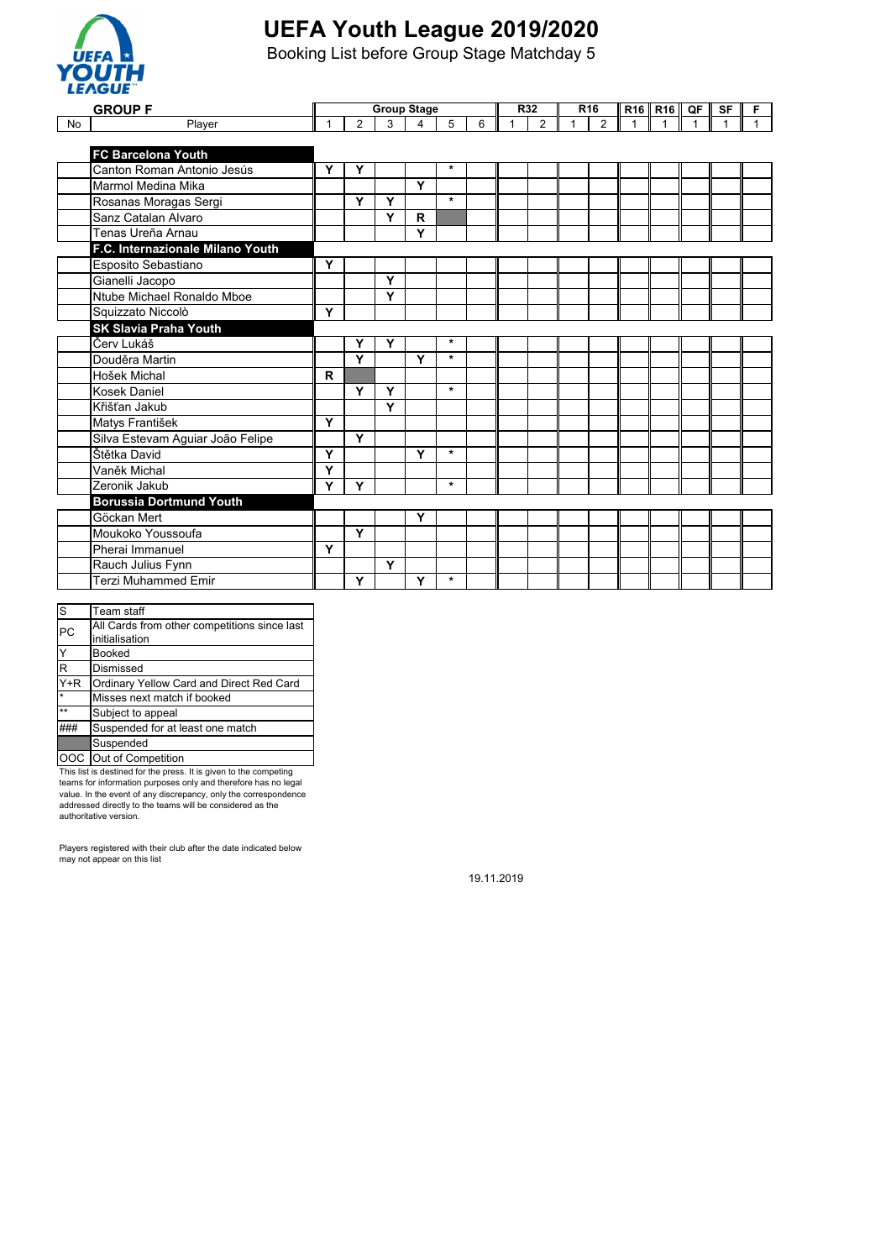

Booking List before Group Stage Matchday 5

|           | -----                                            | <b>Group Stage</b> |                |   |   |         |   |   | R <sub>32</sub><br>R16 |  |                |   |                   |             |    |   |
|-----------|--------------------------------------------------|--------------------|----------------|---|---|---------|---|---|------------------------|--|----------------|---|-------------------|-------------|----|---|
|           | <b>GROUP F</b>                                   |                    |                |   |   |         |   |   |                        |  |                |   | $R16$ R16 $\,$ QF |             | SF | F |
| <b>No</b> | Player                                           | 1                  | $\overline{2}$ | 3 | 4 | 5       | 6 | 1 | $\overline{2}$         |  | $\overline{2}$ | 1 | $\mathbf 1$       | $\mathbf 1$ |    |   |
|           |                                                  |                    |                |   |   |         |   |   |                        |  |                |   |                   |             |    |   |
|           | <b>FC Barcelona Youth</b>                        |                    |                |   |   | $\star$ |   |   |                        |  |                |   |                   |             |    |   |
|           | Canton Roman Antonio Jesús<br>Marmol Medina Mika | Y                  | Y              |   | Y |         |   |   |                        |  |                |   |                   |             |    |   |
|           |                                                  |                    |                |   |   | $\star$ |   |   |                        |  |                |   |                   |             |    |   |
|           | Rosanas Moragas Sergi                            |                    | Y              | Y |   |         |   |   |                        |  |                |   |                   |             |    |   |
|           | Sanz Catalan Alvaro                              |                    |                | Y | R |         |   |   |                        |  |                |   |                   |             |    |   |
|           | Tenas Ureña Arnau                                |                    |                |   | Y |         |   |   |                        |  |                |   |                   |             |    |   |
|           | F.C. Internazionale Milano Youth                 |                    |                |   |   |         |   |   |                        |  |                |   |                   |             |    |   |
|           | Esposito Sebastiano                              | Y                  |                |   |   |         |   |   |                        |  |                |   |                   |             |    |   |
|           | Gianelli Jacopo                                  |                    |                | Y |   |         |   |   |                        |  |                |   |                   |             |    |   |
|           | Ntube Michael Ronaldo Mboe                       |                    |                | Y |   |         |   |   |                        |  |                |   |                   |             |    |   |
|           | Squizzato Niccolò                                | Y                  |                |   |   |         |   |   |                        |  |                |   |                   |             |    |   |
|           | <b>SK Slavia Praha Youth</b>                     |                    |                |   |   |         |   |   |                        |  |                |   |                   |             |    |   |
|           | Červ Lukáš                                       |                    | Y              | Y |   | $\star$ |   |   |                        |  |                |   |                   |             |    |   |
|           | Douděra Martin                                   |                    | Y              |   | Y | $\star$ |   |   |                        |  |                |   |                   |             |    |   |
|           | Hošek Michal                                     | R                  |                |   |   |         |   |   |                        |  |                |   |                   |             |    |   |
|           | <b>Kosek Daniel</b>                              |                    | Y              | Y |   | $\star$ |   |   |                        |  |                |   |                   |             |    |   |
|           | Křišťan Jakub                                    |                    |                | Y |   |         |   |   |                        |  |                |   |                   |             |    |   |
|           | Matys František                                  | Y                  |                |   |   |         |   |   |                        |  |                |   |                   |             |    |   |
|           | Silva Estevam Aguiar João Felipe                 |                    | Y              |   |   |         |   |   |                        |  |                |   |                   |             |    |   |
|           | Štětka David                                     | Y                  |                |   | Y | $\star$ |   |   |                        |  |                |   |                   |             |    |   |
|           | Vaněk Michal                                     | Y                  |                |   |   |         |   |   |                        |  |                |   |                   |             |    |   |
|           | Zeronik Jakub                                    | Y                  | Y              |   |   | $\star$ |   |   |                        |  |                |   |                   |             |    |   |
|           | <b>Borussia Dortmund Youth</b>                   |                    |                |   |   |         |   |   |                        |  |                |   |                   |             |    |   |
|           | Göckan Mert                                      |                    |                |   | Y |         |   |   |                        |  |                |   |                   |             |    |   |
|           | Moukoko Youssoufa                                |                    | Y              |   |   |         |   |   |                        |  |                |   |                   |             |    |   |
|           | Pherai Immanuel                                  | Y                  |                |   |   |         |   |   |                        |  |                |   |                   |             |    |   |
|           | Rauch Julius Fynn                                |                    |                | Ÿ |   |         |   |   |                        |  |                |   |                   |             |    |   |
|           | <b>Terzi Muhammed Emir</b>                       |                    | Y              |   | Y | $\star$ |   |   |                        |  |                |   |                   |             |    |   |
|           |                                                  |                    |                |   |   |         |   |   |                        |  |                |   |                   |             |    |   |

| <sub>S</sub> | Team staff                                   |
|--------------|----------------------------------------------|
| PC           | All Cards from other competitions since last |
|              | initialisation                               |
| Ý            | <b>Booked</b>                                |
| R            | Dismissed                                    |
| $Y+R$        | Ordinary Yellow Card and Direct Red Card     |
| $\star$      | Misses next match if booked                  |
| $\star\star$ | Subject to appeal                            |
|              | Suspended for at least one match             |
|              | Suspended                                    |
| OOC.         | Out of Competition                           |

This list is destined for the press. It is given to the competing teams for information purposes only and therefore has no legal value. In the event of any discrepancy, only the correspondence addressed directly to the teams will be considered as the authoritative version.

Players registered with their club after the date indicated below may not appear on this list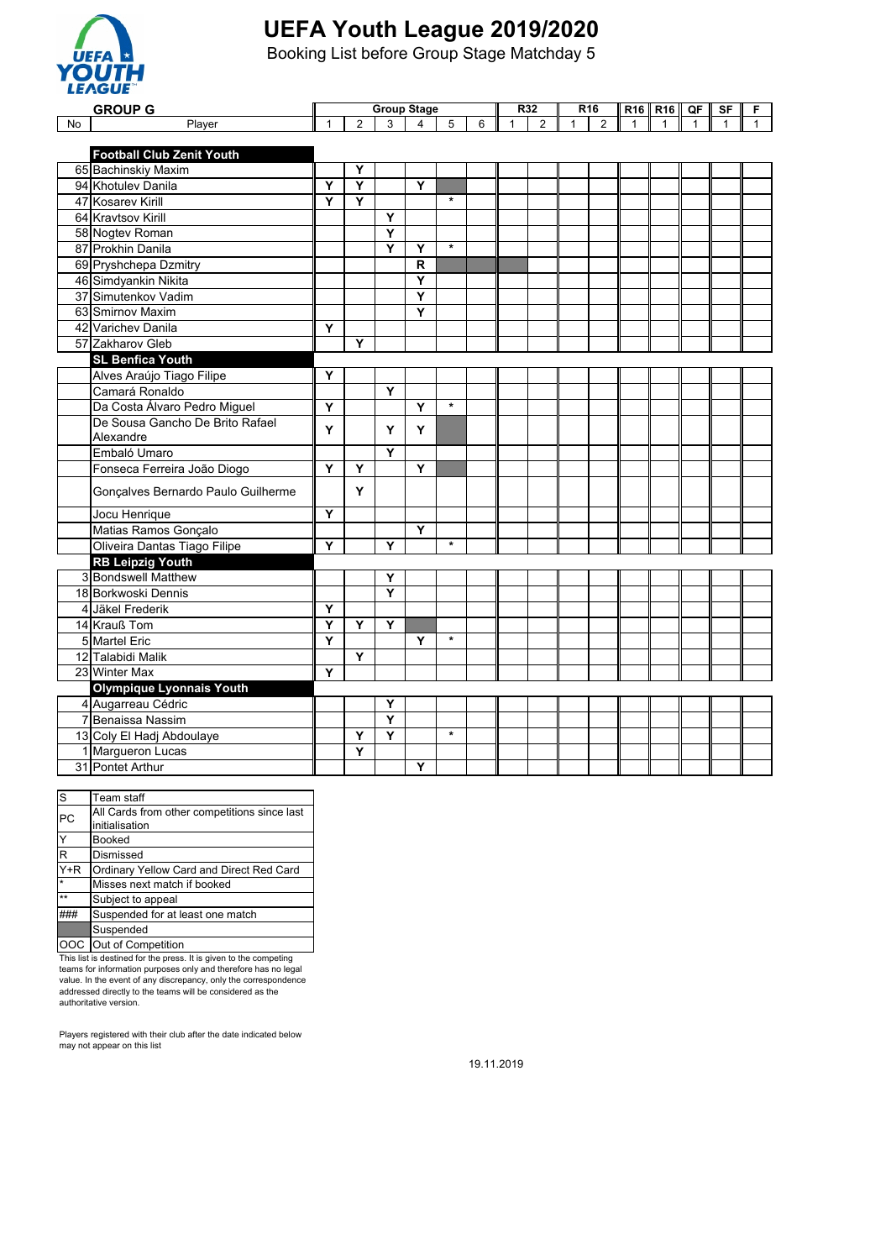

Booking List before Group Stage Matchday 5

|    | <b>GROUP G</b>                     | <b>Group Stage</b>                                              |                         |                         |                         |                     |  | R32<br>R <sub>16</sub> |                           |                    |              |              |  |  | SF | F |
|----|------------------------------------|-----------------------------------------------------------------|-------------------------|-------------------------|-------------------------|---------------------|--|------------------------|---------------------------|--------------------|--------------|--------------|--|--|----|---|
| No | Player                             | $\overline{2}$<br>$\overline{4}$<br>5<br>$\mathbf{1}$<br>3<br>6 |                         | $\mathbf{1}$            | $\overline{2}$          | $\overline{2}$<br>1 |  | $\mathbf{1}$           | $R16$ R16<br>$\mathbf{1}$ | QF<br>$\mathbf{1}$ | $\mathbf{1}$ | $\mathbf{1}$ |  |  |    |   |
|    |                                    |                                                                 |                         |                         |                         |                     |  |                        |                           |                    |              |              |  |  |    |   |
|    | <b>Football Club Zenit Youth</b>   |                                                                 |                         |                         |                         |                     |  |                        |                           |                    |              |              |  |  |    |   |
|    | 65 Bachinskiy Maxim                |                                                                 | Y                       |                         |                         |                     |  |                        |                           |                    |              |              |  |  |    |   |
|    | 94 Khotulev Danila                 | Y                                                               | $\overline{\mathsf{Y}}$ |                         | $\overline{\mathsf{Y}}$ |                     |  |                        |                           |                    |              |              |  |  |    |   |
|    | 47 Kosarev Kirill                  | Ý                                                               | $\overline{\mathsf{Y}}$ |                         |                         | $\star$             |  |                        |                           |                    |              |              |  |  |    |   |
|    | 64 Kravtsov Kirill                 |                                                                 |                         | Y                       |                         |                     |  |                        |                           |                    |              |              |  |  |    |   |
|    | 58 Nogtev Roman                    |                                                                 |                         | Y                       |                         |                     |  |                        |                           |                    |              |              |  |  |    |   |
|    | 87 Prokhin Danila                  |                                                                 |                         | Y                       | Υ                       | $\star$             |  |                        |                           |                    |              |              |  |  |    |   |
|    | 69 Pryshchepa Dzmitry              |                                                                 |                         |                         | $\overline{\mathsf{R}}$ |                     |  |                        |                           |                    |              |              |  |  |    |   |
|    | 46 Simdyankin Nikita               |                                                                 |                         |                         | Y                       |                     |  |                        |                           |                    |              |              |  |  |    |   |
|    | 37 Simutenkov Vadim                |                                                                 |                         |                         | Y                       |                     |  |                        |                           |                    |              |              |  |  |    |   |
|    | 63 Smirnov Maxim                   |                                                                 |                         |                         | Ý                       |                     |  |                        |                           |                    |              |              |  |  |    |   |
|    | 42 Varichev Danila                 | Υ                                                               |                         |                         |                         |                     |  |                        |                           |                    |              |              |  |  |    |   |
|    | 57 Zakharov Gleb                   |                                                                 | Y                       |                         |                         |                     |  |                        |                           |                    |              |              |  |  |    |   |
|    | <b>SL Benfica Youth</b>            |                                                                 |                         |                         |                         |                     |  |                        |                           |                    |              |              |  |  |    |   |
|    | Alves Araújo Tiago Filipe          | Y                                                               |                         |                         |                         |                     |  |                        |                           |                    |              |              |  |  |    |   |
|    | Camará Ronaldo                     |                                                                 |                         | Y                       |                         |                     |  |                        |                           |                    |              |              |  |  |    |   |
|    | Da Costa Álvaro Pedro Miguel       | Y                                                               |                         |                         | $\overline{\mathsf{Y}}$ | $\star$             |  |                        |                           |                    |              |              |  |  |    |   |
|    | De Sousa Gancho De Brito Rafael    | Y                                                               |                         | Y                       | Y                       |                     |  |                        |                           |                    |              |              |  |  |    |   |
|    | Alexandre                          |                                                                 |                         |                         |                         |                     |  |                        |                           |                    |              |              |  |  |    |   |
|    | Embaló Umaro                       |                                                                 |                         | Y                       |                         |                     |  |                        |                           |                    |              |              |  |  |    |   |
|    | Fonseca Ferreira João Diogo        | Ý                                                               | Y                       |                         | Ÿ                       |                     |  |                        |                           |                    |              |              |  |  |    |   |
|    | Gonçalves Bernardo Paulo Guilherme |                                                                 | Y                       |                         |                         |                     |  |                        |                           |                    |              |              |  |  |    |   |
|    | Jocu Henrique                      | Υ                                                               |                         |                         |                         |                     |  |                        |                           |                    |              |              |  |  |    |   |
|    | Matias Ramos Gonçalo               |                                                                 |                         |                         | Ÿ                       |                     |  |                        |                           |                    |              |              |  |  |    |   |
|    | Oliveira Dantas Tiago Filipe       | Υ                                                               |                         | Y                       |                         | $\star$             |  |                        |                           |                    |              |              |  |  |    |   |
|    | <b>RB Leipzig Youth</b>            |                                                                 |                         |                         |                         |                     |  |                        |                           |                    |              |              |  |  |    |   |
|    | 3 Bondswell Matthew                |                                                                 |                         | Y                       |                         |                     |  |                        |                           |                    |              |              |  |  |    |   |
|    | 18 Borkwoski Dennis                |                                                                 |                         | Y                       |                         |                     |  |                        |                           |                    |              |              |  |  |    |   |
|    | 4 Jäkel Frederik                   | Y                                                               |                         |                         |                         |                     |  |                        |                           |                    |              |              |  |  |    |   |
|    | 14 Krauß Tom                       | Y                                                               | Y                       | Y                       |                         |                     |  |                        |                           |                    |              |              |  |  |    |   |
|    | 5 Martel Eric                      | Y                                                               |                         |                         | Υ                       | $\star$             |  |                        |                           |                    |              |              |  |  |    |   |
|    | 12 Talabidi Malik                  |                                                                 | Y                       |                         |                         |                     |  |                        |                           |                    |              |              |  |  |    |   |
|    | 23 Winter Max                      | Υ                                                               |                         |                         |                         |                     |  |                        |                           |                    |              |              |  |  |    |   |
|    | <b>Olympique Lyonnais Youth</b>    |                                                                 |                         |                         |                         |                     |  |                        |                           |                    |              |              |  |  |    |   |
|    | 4 Augarreau Cédric                 |                                                                 |                         | Y                       |                         |                     |  |                        |                           |                    |              |              |  |  |    |   |
|    | 7 Benaissa Nassim                  |                                                                 |                         | $\overline{\mathsf{Y}}$ |                         |                     |  |                        |                           |                    |              |              |  |  |    |   |
|    | 13 Coly El Hadj Abdoulaye          |                                                                 | Y                       | Y                       |                         | $\star$             |  |                        |                           |                    |              |              |  |  |    |   |
|    | 1 Margueron Lucas                  |                                                                 | Y                       |                         |                         |                     |  |                        |                           |                    |              |              |  |  |    |   |
|    | 31 Pontet Arthur                   |                                                                 |                         |                         | Υ                       |                     |  |                        |                           |                    |              |              |  |  |    |   |

| S                       | Team staff                                   |
|-------------------------|----------------------------------------------|
| PC                      | All Cards from other competitions since last |
|                         | initialisation                               |
| Y                       | <b>Booked</b>                                |
| $\overline{\mathsf{R}}$ | Dismissed                                    |
| $\overline{Y}$ +R       | Ordinary Yellow Card and Direct Red Card     |
| $\star$                 | Misses next match if booked                  |
| $**$                    | Subject to appeal                            |
|                         | Suspended for at least one match             |
|                         | Suspended                                    |
|                         | OOC Out of Competition                       |

This list is destined for the press. It is given to the competing teams for information purposes only and therefore has no legal value. In the event of any discrepancy, only the correspondence addressed directly to the teams will be considered as the authoritative version.

Players registered with their club after the date indicated below may not appear on this list